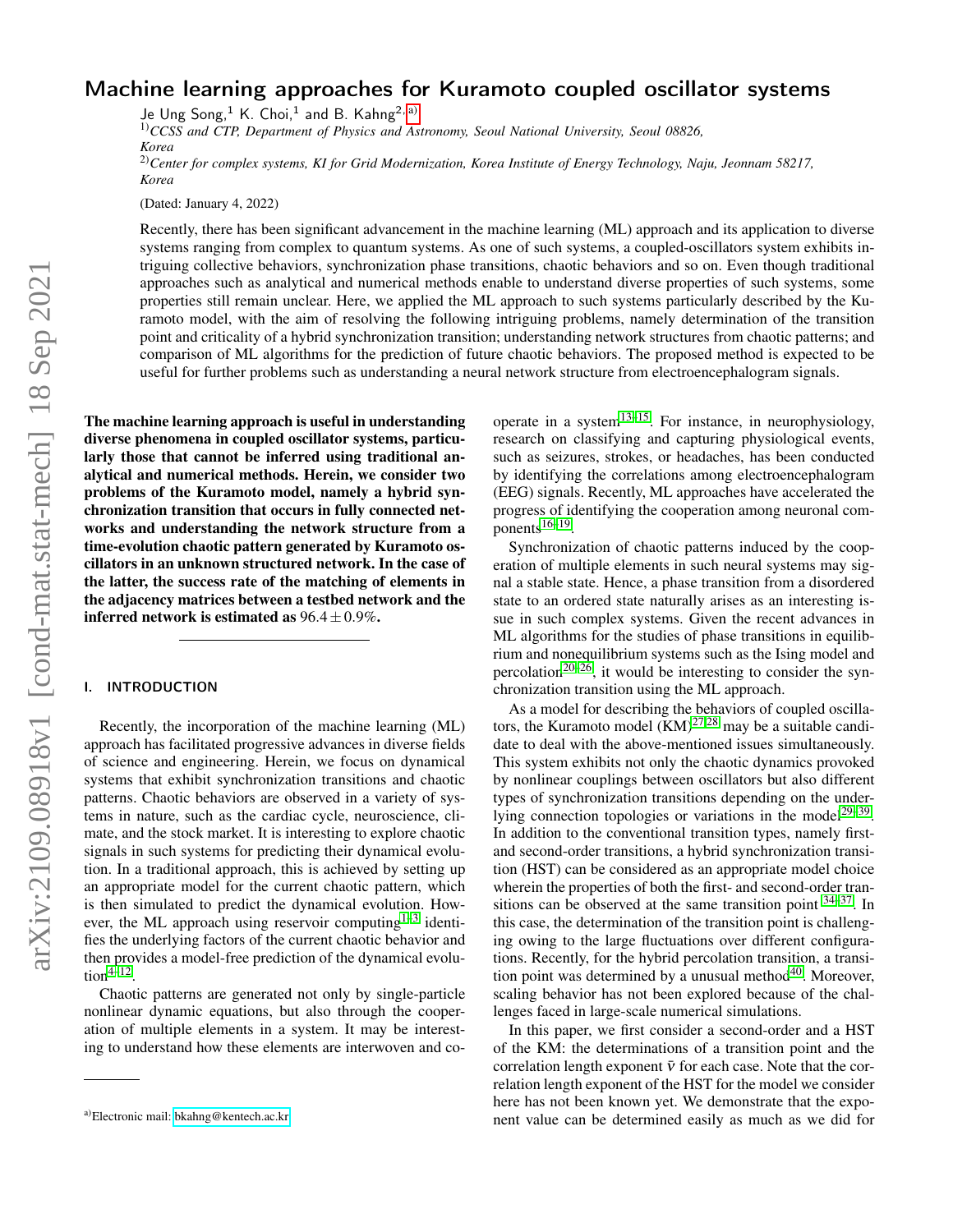# Machine learning approaches for Kuramoto coupled oscillator systems

Je Ung Song, $^1$  K. Choi, $^1$  and B. Kahng $^{2, a)}$  $^{2, a)}$  $^{2, a)}$ 

1)*CCSS and CTP, Department of Physics and Astronomy, Seoul National University, Seoul 08826, Korea* 2)*Center for complex systems, KI for Grid Modernization, Korea Institute of Energy Technology, Naju, Jeonnam 58217, Korea*

(Dated: January 4, 2022)

Recently, there has been significant advancement in the machine learning (ML) approach and its application to diverse systems ranging from complex to quantum systems. As one of such systems, a coupled-oscillators system exhibits intriguing collective behaviors, synchronization phase transitions, chaotic behaviors and so on. Even though traditional approaches such as analytical and numerical methods enable to understand diverse properties of such systems, some properties still remain unclear. Here, we applied the ML approach to such systems particularly described by the Kuramoto model, with the aim of resolving the following intriguing problems, namely determination of the transition point and criticality of a hybrid synchronization transition; understanding network structures from chaotic patterns; and comparison of ML algorithms for the prediction of future chaotic behaviors. The proposed method is expected to be useful for further problems such as understanding a neural network structure from electroencephalogram signals.

The machine learning approach is useful in understanding diverse phenomena in coupled oscillator systems, particularly those that cannot be inferred using traditional analytical and numerical methods. Herein, we consider two problems of the Kuramoto model, namely a hybrid synchronization transition that occurs in fully connected networks and understanding the network structure from a time-evolution chaotic pattern generated by Kuramoto oscillators in an unknown structured network. In the case of the latter, the success rate of the matching of elements in the adjacency matrices between a testbed network and the inferred network is estimated as  $96.4 \pm 0.9\%$ .

## I. INTRODUCTION

Recently, the incorporation of the machine learning (ML) approach has facilitated progressive advances in diverse fields of science and engineering. Herein, we focus on dynamical systems that exhibit synchronization transitions and chaotic patterns. Chaotic behaviors are observed in a variety of systems in nature, such as the cardiac cycle, neuroscience, climate, and the stock market. It is interesting to explore chaotic signals in such systems for predicting their dynamical evolution. In a traditional approach, this is achieved by setting up an appropriate model for the current chaotic pattern, which is then simulated to predict the dynamical evolution. However, the ML approach using reservoir computing $1-3$  $1-3$  identifies the underlying factors of the current chaotic behavior and then provides a model-free prediction of the dynamical evolu- $\text{tion}^{4-12}$  $\text{tion}^{4-12}$  $\text{tion}^{4-12}$ .

Chaotic patterns are generated not only by single-particle nonlinear dynamic equations, but also through the cooperation of multiple elements in a system. It may be interesting to understand how these elements are interwoven and cooperate in a system<sup>[13–](#page-6-4)[15](#page-6-5)</sup>. For instance, in neurophysiology, research on classifying and capturing physiological events, such as seizures, strokes, or headaches, has been conducted by identifying the correlations among electroencephalogram (EEG) signals. Recently, ML approaches have accelerated the progress of identifying the cooperation among neuronal com-ponents<sup>[16](#page-6-6)[–19](#page-6-7)</sup>.

Synchronization of chaotic patterns induced by the cooperation of multiple elements in such neural systems may signal a stable state. Hence, a phase transition from a disordered state to an ordered state naturally arises as an interesting issue in such complex systems. Given the recent advances in ML algorithms for the studies of phase transitions in equilibrium and nonequilibrium systems such as the Ising model and percolation<sup>[20](#page-6-8)[–26](#page-6-9)</sup>, it would be interesting to consider the synchronization transition using the ML approach.

As a model for describing the behaviors of coupled oscillators, the Kuramoto model  $(KM)^{27,28}$  $(KM)^{27,28}$  $(KM)^{27,28}$  $(KM)^{27,28}$  may be a suitable candidate to deal with the above-mentioned issues simultaneously. This system exhibits not only the chaotic dynamics provoked by nonlinear couplings between oscillators but also different types of synchronization transitions depending on the under-lying connection topologies or variations in the model<sup>[29–](#page-6-12)[39](#page-6-13)</sup>. In addition to the conventional transition types, namely firstand second-order transitions, a hybrid synchronization transition (HST) can be considered as an appropriate model choice wherein the properties of both the first- and second-order transitions can be observed at the same transition point  $34-37$  $34-37$ . In this case, the determination of the transition point is challenging owing to the large fluctuations over different configurations. Recently, for the hybrid percolation transition, a transi-tion point was determined by a unusual method<sup>[40](#page-6-16)</sup>. Moreover, scaling behavior has not been explored because of the challenges faced in large-scale numerical simulations.

In this paper, we first consider a second-order and a HST of the KM: the determinations of a transition point and the correlation length exponent  $\bar{v}$  for each case. Note that the correlation length exponent of the HST for the model we consider here has not been known yet. We demonstrate that the exponent value can be determined easily as much as we did for

<span id="page-0-0"></span>a)Electronic mail: [bkahng@kentech.ac.kr](mailto:bkahng@kentech.ac.kr)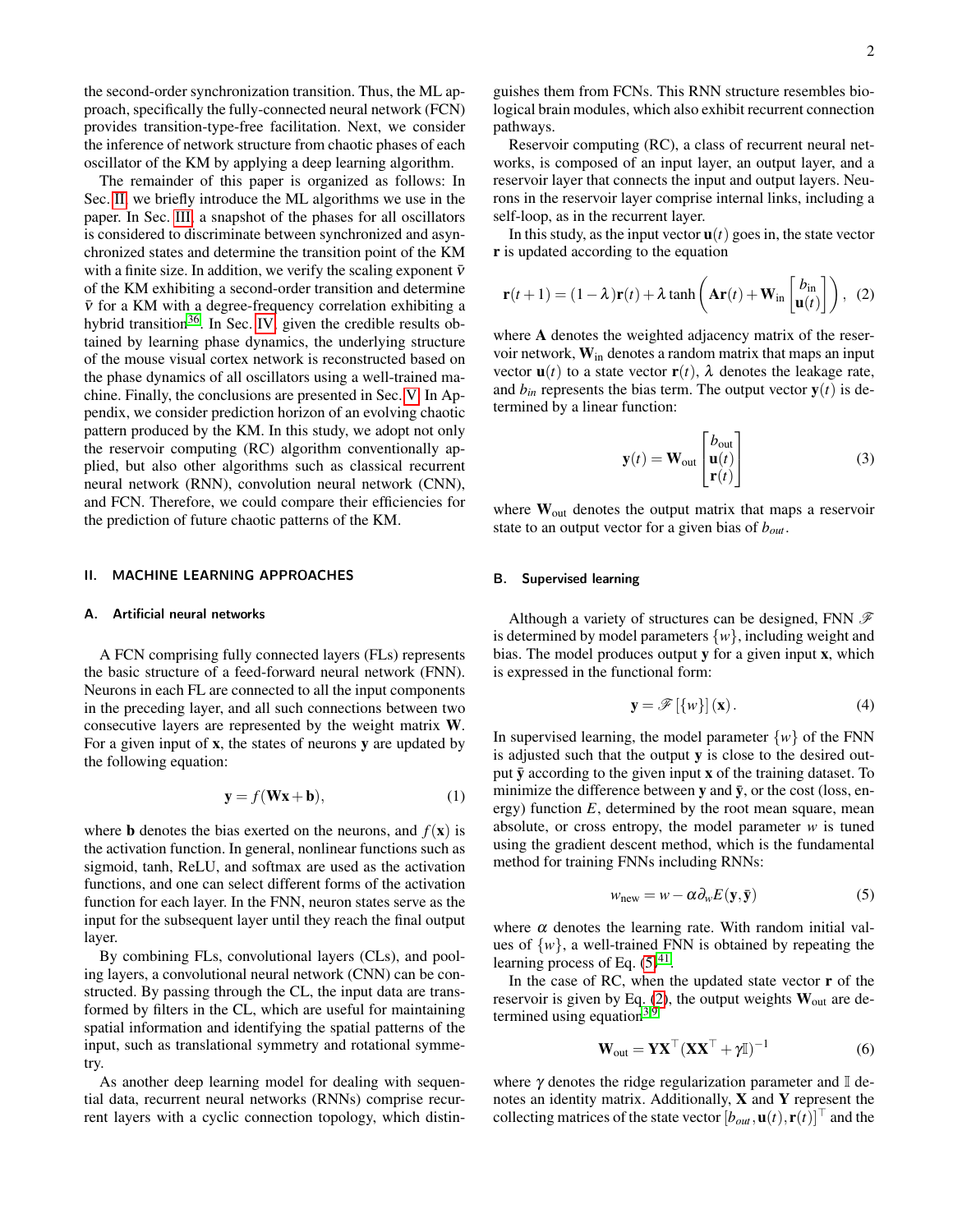the second-order synchronization transition. Thus, the ML approach, specifically the fully-connected neural network (FCN) provides transition-type-free facilitation. Next, we consider the inference of network structure from chaotic phases of each oscillator of the KM by applying a deep learning algorithm.

The remainder of this paper is organized as follows: In Sec. [II,](#page-1-0) we briefly introduce the ML algorithms we use in the paper. In Sec. [III,](#page-2-0) a snapshot of the phases for all oscillators is considered to discriminate between synchronized and asynchronized states and determine the transition point of the KM with a finite size. In addition, we verify the scaling exponent  $\bar{v}$ of the KM exhibiting a second-order transition and determine  $\bar{v}$  for a KM with a degree-frequency correlation exhibiting a hybrid transition<sup>[36](#page-6-17)</sup>. In Sec. [IV,](#page-3-0) given the credible results obtained by learning phase dynamics, the underlying structure of the mouse visual cortex network is reconstructed based on the phase dynamics of all oscillators using a well-trained machine. Finally, the conclusions are presented in Sec. [V.](#page-4-0) In Appendix, we consider prediction horizon of an evolving chaotic pattern produced by the KM. In this study, we adopt not only the reservoir computing (RC) algorithm conventionally applied, but also other algorithms such as classical recurrent neural network (RNN), convolution neural network (CNN), and FCN. Therefore, we could compare their efficiencies for the prediction of future chaotic patterns of the KM.

# <span id="page-1-0"></span>II. MACHINE LEARNING APPROACHES

#### A. Artificial neural networks

A FCN comprising fully connected layers (FLs) represents the basic structure of a feed-forward neural network (FNN). Neurons in each FL are connected to all the input components in the preceding layer, and all such connections between two consecutive layers are represented by the weight matrix W. For a given input of  $x$ , the states of neurons  $y$  are updated by the following equation:

$$
\mathbf{y} = f(\mathbf{W}\mathbf{x} + \mathbf{b}),\tag{1}
$$

where **b** denotes the bias exerted on the neurons, and  $f(\mathbf{x})$  is the activation function. In general, nonlinear functions such as sigmoid, tanh, ReLU, and softmax are used as the activation functions, and one can select different forms of the activation function for each layer. In the FNN, neuron states serve as the input for the subsequent layer until they reach the final output layer.

By combining FLs, convolutional layers (CLs), and pooling layers, a convolutional neural network (CNN) can be constructed. By passing through the CL, the input data are transformed by filters in the CL, which are useful for maintaining spatial information and identifying the spatial patterns of the input, such as translational symmetry and rotational symmetry.

As another deep learning model for dealing with sequential data, recurrent neural networks (RNNs) comprise recurrent layers with a cyclic connection topology, which distin-

guishes them from FCNs. This RNN structure resembles biological brain modules, which also exhibit recurrent connection pathways.

Reservoir computing (RC), a class of recurrent neural networks, is composed of an input layer, an output layer, and a reservoir layer that connects the input and output layers. Neurons in the reservoir layer comprise internal links, including a self-loop, as in the recurrent layer.

In this study, as the input vector  $\mathbf{u}(t)$  goes in, the state vector r is updated according to the equation

$$
\mathbf{r}(t+1) = (1 - \lambda)\mathbf{r}(t) + \lambda \tanh\left(\mathbf{Ar}(t) + \mathbf{W}_{\text{in}}\begin{bmatrix} b_{\text{in}} \\ \mathbf{u}(t) \end{bmatrix}\right), (2)
$$

where A denotes the weighted adjacency matrix of the reservoir network,  $W_{in}$  denotes a random matrix that maps an input vector  $\mathbf{u}(t)$  to a state vector  $\mathbf{r}(t)$ ,  $\lambda$  denotes the leakage rate, and  $b_{in}$  represents the bias term. The output vector  $y(t)$  is determined by a linear function:

<span id="page-1-2"></span>
$$
\mathbf{y}(t) = \mathbf{W}_{\text{out}} \begin{bmatrix} b_{\text{out}} \\ \mathbf{u}(t) \\ \mathbf{r}(t) \end{bmatrix}
$$
 (3)

where  $W_{\text{out}}$  denotes the output matrix that maps a reservoir state to an output vector for a given bias of *bout*.

### B. Supervised learning

Although a variety of structures can be designed, FNN  $\mathscr F$ is determined by model parameters  $\{w\}$ , including weight and bias. The model produces output y for a given input x, which is expressed in the functional form:

$$
\mathbf{y} = \mathscr{F}[\{w\}](\mathbf{x}).\tag{4}
$$

In supervised learning, the model parameter  $\{w\}$  of the FNN is adjusted such that the output  $\bf{v}$  is close to the desired output  $\bar{y}$  according to the given input x of the training dataset. To minimize the difference between y and  $\bar{y}$ , or the cost (loss, energy) function *E*, determined by the root mean square, mean absolute, or cross entropy, the model parameter *w* is tuned using the gradient descent method, which is the fundamental method for training FNNs including RNNs:

<span id="page-1-1"></span>
$$
w_{\text{new}} = w - \alpha \partial_w E(\mathbf{y}, \mathbf{\bar{y}})
$$
 (5)

where  $\alpha$  denotes the learning rate. With random initial values of  $\{w\}$ , a well-trained FNN is obtained by repeating the learning process of Eq.  $(5)^{41}$  $(5)^{41}$  $(5)^{41}$  $(5)^{41}$ .

In the case of RC, when the updated state vector  $\bf{r}$  of the reservoir is given by Eq. [\(2\)](#page-1-2), the output weights  $W_{out}$  are determined using equation $3,9$  $3,9$ 

$$
\mathbf{W}_{\text{out}} = \mathbf{Y} \mathbf{X}^{\top} (\mathbf{X} \mathbf{X}^{\top} + \gamma \mathbb{I})^{-1}
$$
 (6)

where  $\gamma$  denotes the ridge regularization parameter and  $\mathbb{I}$  denotes an identity matrix. Additionally, X and Y represent the collecting matrices of the state vector  $[b_{out}, \mathbf{u}(t), \mathbf{r}(t)]^\top$  and the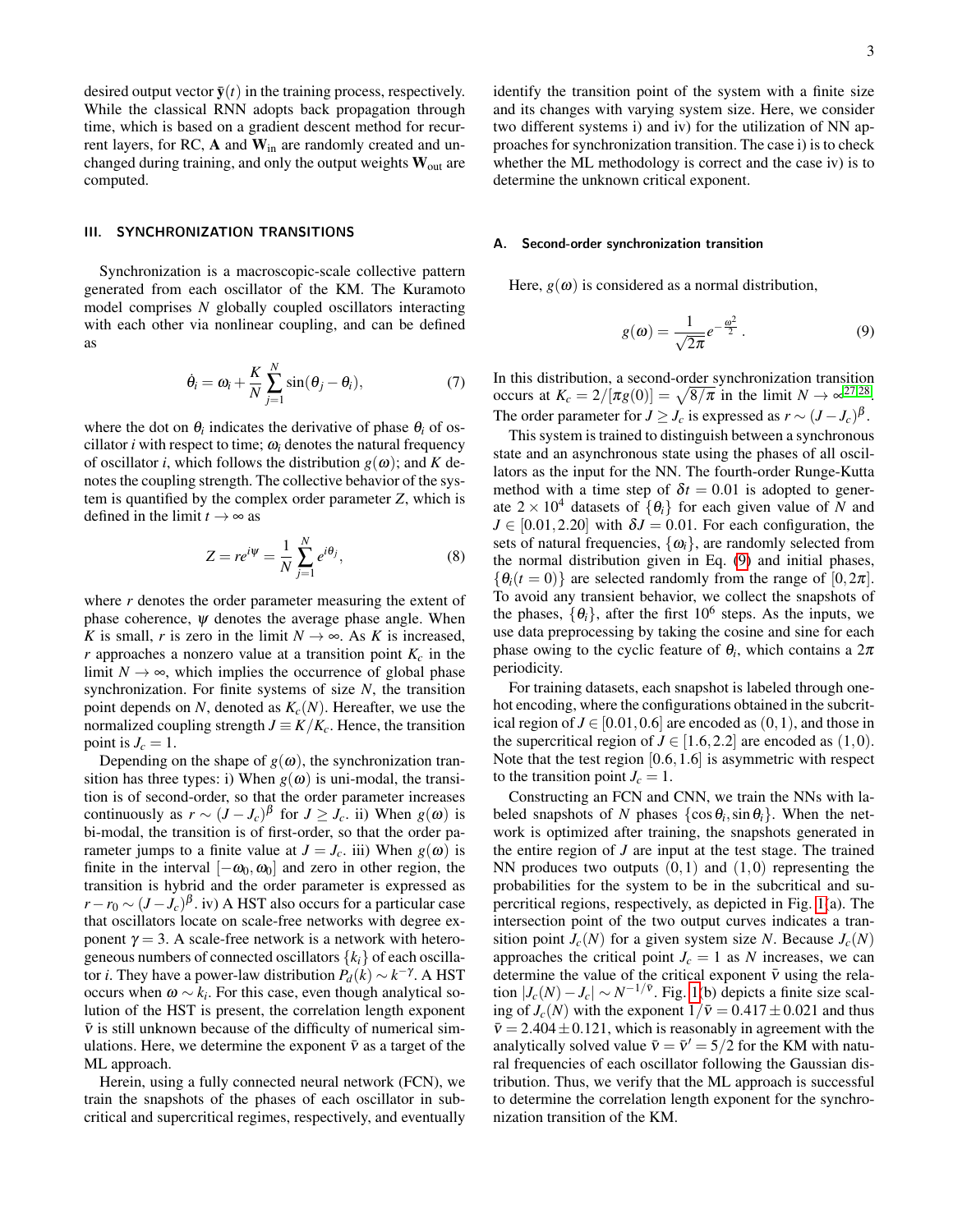desired output vector  $\bar{\mathbf{y}}(t)$  in the training process, respectively. While the classical RNN adopts back propagation through time, which is based on a gradient descent method for recurrent layers, for RC, A and Win are randomly created and unchanged during training, and only the output weights  $W_{\text{out}}$  are computed.

# <span id="page-2-0"></span>III. SYNCHRONIZATION TRANSITIONS

Synchronization is a macroscopic-scale collective pattern generated from each oscillator of the KM. The Kuramoto model comprises *N* globally coupled oscillators interacting with each other via nonlinear coupling, and can be defined as

$$
\dot{\theta}_i = \omega_i + \frac{K}{N} \sum_{j=1}^{N} \sin(\theta_j - \theta_i), \qquad (7)
$$

where the dot on  $\theta_i$  indicates the derivative of phase  $\theta_i$  of oscillator  $i$  with respect to time;  $\omega_i$  denotes the natural frequency of oscillator *i*, which follows the distribution  $g(\omega)$ ; and *K* denotes the coupling strength. The collective behavior of the system is quantified by the complex order parameter *Z*, which is defined in the limit  $t \to \infty$  as

$$
Z = re^{i\Psi} = \frac{1}{N} \sum_{j=1}^{N} e^{i\theta_j},
$$
\n(8)

where *r* denotes the order parameter measuring the extent of phase coherence,  $\psi$  denotes the average phase angle. When *K* is small, *r* is zero in the limit  $N \rightarrow \infty$ . As *K* is increased,  $r$  approaches a nonzero value at a transition point  $K_c$  in the limit  $N \rightarrow \infty$ , which implies the occurrence of global phase synchronization. For finite systems of size *N*, the transition point depends on *N*, denoted as  $K_c(N)$ . Hereafter, we use the normalized coupling strength  $J \equiv K/K_c$ . Hence, the transition point is  $J_c = 1$ .

Depending on the shape of  $g(\omega)$ , the synchronization transition has three types: i) When  $g(\omega)$  is uni-modal, the transition is of second-order, so that the order parameter increases continuously as  $r \sim (J - J_c)^{\beta}$  for  $J \geq J_c$ . ii) When  $g(\omega)$  is bi-modal, the transition is of first-order, so that the order parameter jumps to a finite value at  $J = J_c$ . iii) When  $g(\omega)$  is finite in the interval  $[-\omega_0, \omega_0]$  and zero in other region, the transition is hybrid and the order parameter is expressed as  $r - r_0 \sim (J - J_c)^{\beta}$ . iv) A HST also occurs for a particular case that oscillators locate on scale-free networks with degree exponent  $\gamma = 3$ . A scale-free network is a network with heterogeneous numbers of connected oscillators  ${k_i}$  of each oscillator *i*. They have a power-law distribution  $P_d(k) \sim k^{-\gamma}$ . A HST occurs when  $\omega \sim k_i$ . For this case, even though analytical solution of the HST is present, the correlation length exponent  $\bar{v}$  is still unknown because of the difficulty of numerical simulations. Here, we determine the exponent  $\bar{v}$  as a target of the ML approach.

Herein, using a fully connected neural network (FCN), we train the snapshots of the phases of each oscillator in subcritical and supercritical regimes, respectively, and eventually

identify the transition point of the system with a finite size and its changes with varying system size. Here, we consider two different systems i) and iv) for the utilization of NN approaches for synchronization transition. The case i) is to check whether the ML methodology is correct and the case iv) is to determine the unknown critical exponent.

#### A. Second-order synchronization transition

Here,  $g(\omega)$  is considered as a normal distribution,

<span id="page-2-1"></span>
$$
g(\omega) = \frac{1}{\sqrt{2\pi}} e^{-\frac{\omega^2}{2}}.
$$
 (9)

<span id="page-2-2"></span>In this distribution, a second-order synchronization transition occurs at  $K_c = 2/[\pi g(0)] = \sqrt{8/\pi}$  in the limit  $N \to \infty^{27,28}$  $N \to \infty^{27,28}$  $N \to \infty^{27,28}$  $N \to \infty^{27,28}$ . The order parameter for  $J \geq J_c$  is expressed as  $r \sim (J - J_c)^{\beta}$ .

This system is trained to distinguish between a synchronous state and an asynchronous state using the phases of all oscillators as the input for the NN. The fourth-order Runge-Kutta method with a time step of  $\delta t = 0.01$  is adopted to generate  $2 \times 10^4$  datasets of  $\{\theta_i\}$  for each given value of *N* and  $J \in [0.01, 2.20]$  with  $\delta J = 0.01$ . For each configuration, the sets of natural frequencies,  $\{\omega_i\}$ , are randomly selected from the normal distribution given in Eq. [\(9\)](#page-2-1) and initial phases,  ${\theta_i(t=0)}$  are selected randomly from the range of [0,2 $\pi$ ]. To avoid any transient behavior, we collect the snapshots of the phases,  $\{\theta_i\}$ , after the first 10<sup>6</sup> steps. As the inputs, we use data preprocessing by taking the cosine and sine for each phase owing to the cyclic feature of  $\theta_i$ , which contains a  $2\pi$ periodicity.

For training datasets, each snapshot is labeled through onehot encoding, where the configurations obtained in the subcritical region of  $J \in [0.01, 0.6]$  are encoded as  $(0,1)$ , and those in the supercritical region of  $J \in [1.6, 2.2]$  are encoded as  $(1,0)$ . Note that the test region  $[0.6, 1.6]$  is asymmetric with respect to the transition point  $J_c = 1$ .

Constructing an FCN and CNN, we train the NNs with labeled snapshots of *N* phases  $\{\cos \theta_i, \sin \theta_i\}$ . When the network is optimized after training, the snapshots generated in the entire region of *J* are input at the test stage. The trained NN produces two outputs  $(0,1)$  and  $(1,0)$  representing the probabilities for the system to be in the subcritical and supercritical regions, respectively, as depicted in Fig. [1\(](#page-3-1)a). The intersection point of the two output curves indicates a transition point  $J_c(N)$  for a given system size *N*. Because  $J_c(N)$ approaches the critical point  $J_c = 1$  as *N* increases, we can determine the value of the critical exponent  $\bar{v}$  using the relation  $|J_c(N) - J_c| \sim N^{-1/\bar{v}}$ . Fig. [1\(](#page-3-1)b) depicts a finite size scaling of  $J_c(N)$  with the exponent  $1/\bar{v} = 0.417 \pm 0.021$  and thus  $\bar{v} = 2.404 \pm 0.121$ , which is reasonably in agreement with the analytically solved value  $\bar{v} = \bar{v}' = 5/2$  for the KM with natural frequencies of each oscillator following the Gaussian distribution. Thus, we verify that the ML approach is successful to determine the correlation length exponent for the synchronization transition of the KM.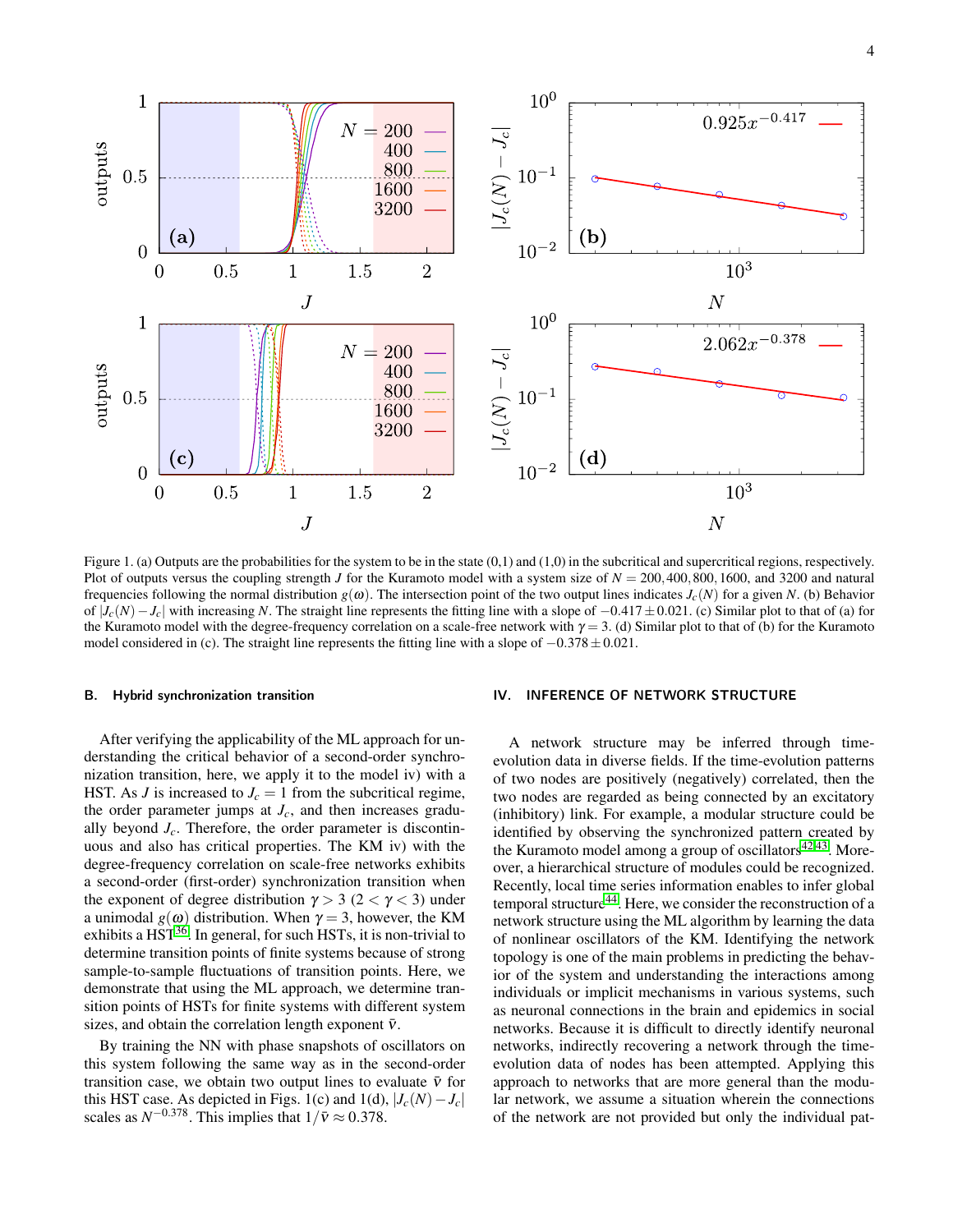

<span id="page-3-1"></span>Figure 1. (a) Outputs are the probabilities for the system to be in the state  $(0,1)$  and  $(1,0)$  in the subcritical and supercritical regions, respectively. Plot of outputs versus the coupling strength *J* for the Kuramoto model with a system size of  $N = 200,400,800,1600$ , and 3200 and natural frequencies following the normal distribution  $g(\omega)$ . The intersection point of the two output lines indicates  $J_c(N)$  for a given *N*. (b) Behavior of  $|J_c(N)-J_c|$  with increasing N. The straight line represents the fitting line with a slope of  $-0.417 \pm 0.021$ . (c) Similar plot to that of (a) for the Kuramoto model with the degree-frequency correlation on a scale-free network with  $\gamma = 3$ . (d) Similar plot to that of (b) for the Kuramoto model considered in (c). The straight line represents the fitting line with a slope of  $-0.378 \pm 0.021$ .

#### B. Hybrid synchronization transition

After verifying the applicability of the ML approach for understanding the critical behavior of a second-order synchronization transition, here, we apply it to the model iv) with a HST. As *J* is increased to  $J_c = 1$  from the subcritical regime, the order parameter jumps at  $J_c$ , and then increases gradually beyond  $J_c$ . Therefore, the order parameter is discontinuous and also has critical properties. The KM iv) with the degree-frequency correlation on scale-free networks exhibits a second-order (first-order) synchronization transition when the exponent of degree distribution  $\gamma > 3$  (2 <  $\gamma$  < 3) under a unimodal  $g(\omega)$  distribution. When  $\gamma = 3$ , however, the KM exhibits a  $HST^{36}$  $HST^{36}$  $HST^{36}$ . In general, for such  $HSTs$ , it is non-trivial to determine transition points of finite systems because of strong sample-to-sample fluctuations of transition points. Here, we demonstrate that using the ML approach, we determine transition points of HSTs for finite systems with different system sizes, and obtain the correlation length exponent  $\bar{v}$ .

By training the NN with phase snapshots of oscillators on this system following the same way as in the second-order transition case, we obtain two output lines to evaluate  $\bar{v}$  for this HST case. As depicted in Figs. 1(c) and 1(d),  $|J_c(N) - J_c|$ scales as  $N^{-0.378}$ . This implies that  $1/\bar{v} \approx 0.378$ .

# <span id="page-3-0"></span>IV. INFERENCE OF NETWORK STRUCTURE

A network structure may be inferred through timeevolution data in diverse fields. If the time-evolution patterns of two nodes are positively (negatively) correlated, then the two nodes are regarded as being connected by an excitatory (inhibitory) link. For example, a modular structure could be identified by observing the synchronized pattern created by the Kuramoto model among a group of oscillators $42,43$  $42,43$ . Moreover, a hierarchical structure of modules could be recognized. Recently, local time series information enables to infer global temporal structure<sup>[44](#page-6-22)</sup>. Here, we consider the reconstruction of a network structure using the ML algorithm by learning the data of nonlinear oscillators of the KM. Identifying the network topology is one of the main problems in predicting the behavior of the system and understanding the interactions among individuals or implicit mechanisms in various systems, such as neuronal connections in the brain and epidemics in social networks. Because it is difficult to directly identify neuronal networks, indirectly recovering a network through the timeevolution data of nodes has been attempted. Applying this approach to networks that are more general than the modular network, we assume a situation wherein the connections of the network are not provided but only the individual pat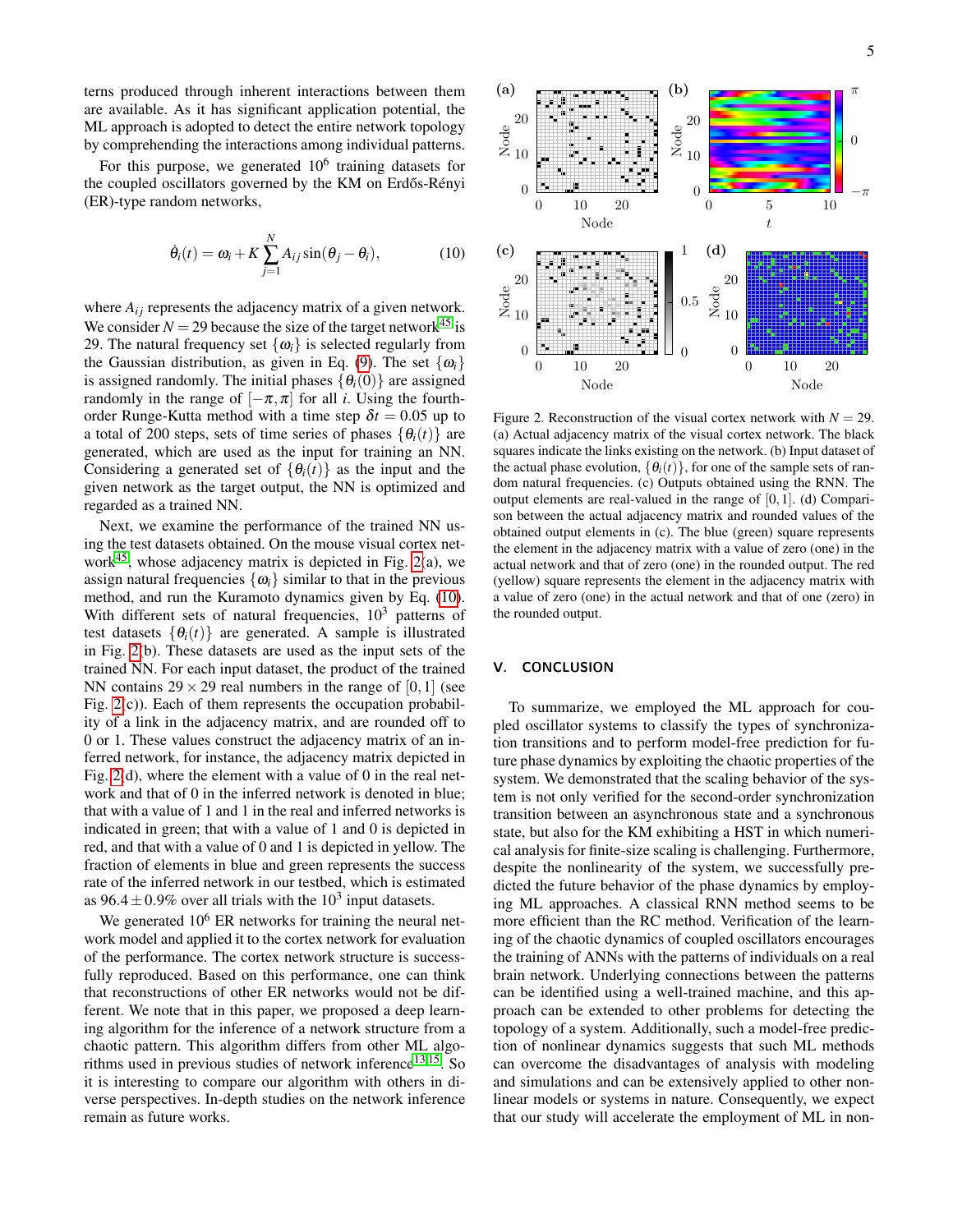terns produced through inherent interactions between them are available. As it has significant application potential, the ML approach is adopted to detect the entire network topology by comprehending the interactions among individual patterns.

For this purpose, we generated  $10^6$  training datasets for the coupled oscillators governed by the KM on Erdős-Rényi (ER)-type random networks,

$$
\dot{\theta}_i(t) = \omega_i + K \sum_{j=1}^N A_{ij} \sin(\theta_j - \theta_i), \qquad (10)
$$

where  $A_{ij}$  represents the adjacency matrix of a given network. We consider  $N = 29$  because the size of the target network<sup>[45](#page-6-23)</sup> is 29. The natural frequency set  $\{\omega_i\}$  is selected regularly from the Gaussian distribution, as given in Eq. [\(9\)](#page-2-1). The set  $\{\omega_i\}$ is assigned randomly. The initial phases  $\{\theta_i(0)\}\$  are assigned randomly in the range of  $[-\pi,\pi]$  for all *i*. Using the fourthorder Runge-Kutta method with a time step  $\delta t = 0.05$  up to a total of 200 steps, sets of time series of phases  $\{\theta_i(t)\}\$ are generated, which are used as the input for training an NN. Considering a generated set of  $\{\theta_i(t)\}\$ as the input and the given network as the target output, the NN is optimized and regarded as a trained NN.

Next, we examine the performance of the trained NN using the test datasets obtained. On the mouse visual cortex network $45$ , whose adjacency matrix is depicted in Fig. [2\(](#page-4-1)a), we assign natural frequencies  $\{\omega_i\}$  similar to that in the previous method, and run the Kuramoto dynamics given by Eq. [\(10\)](#page-4-2). With different sets of natural frequencies,  $10<sup>3</sup>$  patterns of test datasets  $\{\theta_i(t)\}\$ are generated. A sample is illustrated in Fig. [2\(](#page-4-1)b). These datasets are used as the input sets of the trained NN. For each input dataset, the product of the trained NN contains  $29 \times 29$  real numbers in the range of [0, 1] (see Fig. [2\(](#page-4-1)c)). Each of them represents the occupation probability of a link in the adjacency matrix, and are rounded off to 0 or 1. These values construct the adjacency matrix of an inferred network, for instance, the adjacency matrix depicted in Fig. [2\(](#page-4-1)d), where the element with a value of 0 in the real network and that of 0 in the inferred network is denoted in blue; that with a value of 1 and 1 in the real and inferred networks is indicated in green; that with a value of 1 and 0 is depicted in red, and that with a value of 0 and 1 is depicted in yellow. The fraction of elements in blue and green represents the success rate of the inferred network in our testbed, which is estimated as  $96.4 \pm 0.9\%$  over all trials with the  $10^3$  input datasets.

We generated  $10^6$  ER networks for training the neural network model and applied it to the cortex network for evaluation of the performance. The cortex network structure is successfully reproduced. Based on this performance, one can think that reconstructions of other ER networks would not be different. We note that in this paper, we proposed a deep learning algorithm for the inference of a network structure from a chaotic pattern. This algorithm differs from other ML algorithms used in previous studies of network inference $13,15$  $13,15$ . So it is interesting to compare our algorithm with others in diverse perspectives. In-depth studies on the network inference remain as future works.

<span id="page-4-2"></span>

<span id="page-4-1"></span>Figure 2. Reconstruction of the visual cortex network with  $N = 29$ . (a) Actual adjacency matrix of the visual cortex network. The black squares indicate the links existing on the network. (b) Input dataset of the actual phase evolution,  $\{\theta_i(t)\}\$ , for one of the sample sets of random natural frequencies. (c) Outputs obtained using the RNN. The output elements are real-valued in the range of  $[0,1]$ . (d) Comparison between the actual adjacency matrix and rounded values of the obtained output elements in (c). The blue (green) square represents the element in the adjacency matrix with a value of zero (one) in the actual network and that of zero (one) in the rounded output. The red (yellow) square represents the element in the adjacency matrix with a value of zero (one) in the actual network and that of one (zero) in the rounded output.

# <span id="page-4-0"></span>V. CONCLUSION

To summarize, we employed the ML approach for coupled oscillator systems to classify the types of synchronization transitions and to perform model-free prediction for future phase dynamics by exploiting the chaotic properties of the system. We demonstrated that the scaling behavior of the system is not only verified for the second-order synchronization transition between an asynchronous state and a synchronous state, but also for the KM exhibiting a HST in which numerical analysis for finite-size scaling is challenging. Furthermore, despite the nonlinearity of the system, we successfully predicted the future behavior of the phase dynamics by employing ML approaches. A classical RNN method seems to be more efficient than the RC method. Verification of the learning of the chaotic dynamics of coupled oscillators encourages the training of ANNs with the patterns of individuals on a real brain network. Underlying connections between the patterns can be identified using a well-trained machine, and this approach can be extended to other problems for detecting the topology of a system. Additionally, such a model-free prediction of nonlinear dynamics suggests that such ML methods can overcome the disadvantages of analysis with modeling and simulations and can be extensively applied to other nonlinear models or systems in nature. Consequently, we expect that our study will accelerate the employment of ML in non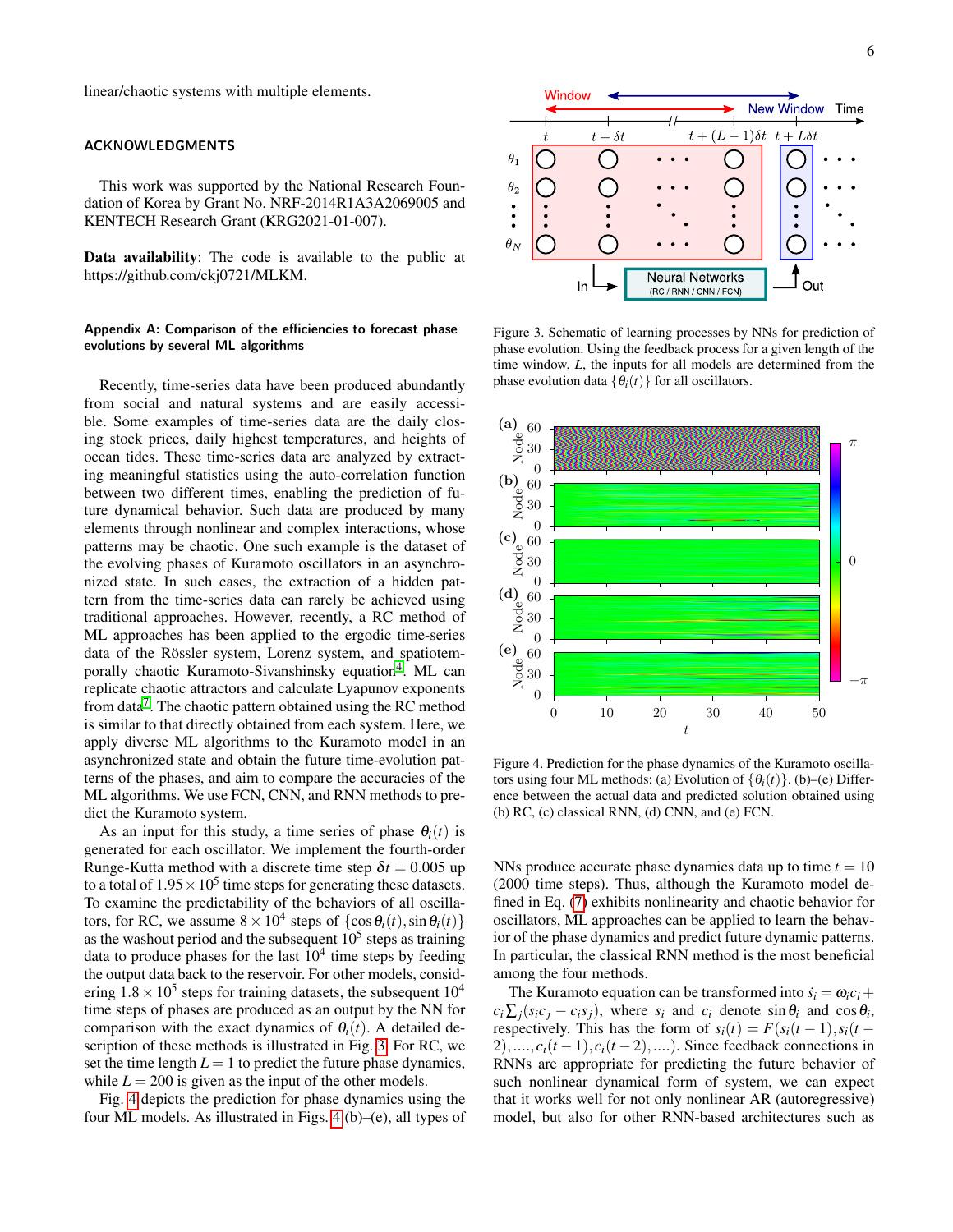linear/chaotic systems with multiple elements.

# ACKNOWLEDGMENTS

This work was supported by the National Research Foundation of Korea by Grant No. NRF-2014R1A3A2069005 and KENTECH Research Grant (KRG2021-01-007).

Data availability: The code is available to the public at https://github.com/ckj0721/MLKM.

# Appendix A: Comparison of the efficiencies to forecast phase evolutions by several ML algorithms

Recently, time-series data have been produced abundantly from social and natural systems and are easily accessible. Some examples of time-series data are the daily closing stock prices, daily highest temperatures, and heights of ocean tides. These time-series data are analyzed by extracting meaningful statistics using the auto-correlation function between two different times, enabling the prediction of future dynamical behavior. Such data are produced by many elements through nonlinear and complex interactions, whose patterns may be chaotic. One such example is the dataset of the evolving phases of Kuramoto oscillators in an asynchronized state. In such cases, the extraction of a hidden pattern from the time-series data can rarely be achieved using traditional approaches. However, recently, a RC method of ML approaches has been applied to the ergodic time-series data of the Rössler system, Lorenz system, and spatiotem-porally chaotic Kuramoto-Sivanshinsky equation<sup>[4](#page-6-2)</sup>. ML can replicate chaotic attractors and calculate Lyapunov exponents from data<sup>[7](#page-6-24)</sup>. The chaotic pattern obtained using the RC method is similar to that directly obtained from each system. Here, we apply diverse ML algorithms to the Kuramoto model in an asynchronized state and obtain the future time-evolution patterns of the phases, and aim to compare the accuracies of the ML algorithms. We use FCN, CNN, and RNN methods to predict the Kuramoto system.

As an input for this study, a time series of phase  $\theta_i(t)$  is generated for each oscillator. We implement the fourth-order Runge-Kutta method with a discrete time step  $\delta t = 0.005$  up to a total of  $1.95 \times 10^5$  time steps for generating these datasets. To examine the predictability of the behaviors of all oscillators, for RC, we assume  $8 \times 10^4$  steps of  $\{\cos \theta_i(t), \sin \theta_i(t)\}$ as the washout period and the subsequent  $10<sup>5</sup>$  steps as training data to produce phases for the last  $10<sup>4</sup>$  time steps by feeding the output data back to the reservoir. For other models, considering  $1.8 \times 10^5$  steps for training datasets, the subsequent  $10^4$ time steps of phases are produced as an output by the NN for comparison with the exact dynamics of  $\theta_i(t)$ . A detailed description of these methods is illustrated in Fig. [3.](#page-5-0) For RC, we set the time length  $L = 1$  to predict the future phase dynamics, while  $L = 200$  is given as the input of the other models.

Fig. [4](#page-5-1) depicts the prediction for phase dynamics using the four ML models. As illustrated in Figs. [4](#page-5-1) (b)–(e), all types of



<span id="page-5-0"></span>Figure 3. Schematic of learning processes by NNs for prediction of phase evolution. Using the feedback process for a given length of the time window, *L*, the inputs for all models are determined from the phase evolution data  $\{\theta_i(t)\}\$ for all oscillators.



<span id="page-5-1"></span>Figure 4. Prediction for the phase dynamics of the Kuramoto oscillators using four ML methods: (a) Evolution of  $\{\theta_i(t)\}\)$ . (b)–(e) Difference between the actual data and predicted solution obtained using (b) RC, (c) classical RNN, (d) CNN, and (e) FCN.

NNs produce accurate phase dynamics data up to time  $t = 10$ (2000 time steps). Thus, although the Kuramoto model defined in Eq. [\(7\)](#page-2-2) exhibits nonlinearity and chaotic behavior for oscillators, ML approaches can be applied to learn the behavior of the phase dynamics and predict future dynamic patterns. In particular, the classical RNN method is the most beneficial among the four methods.

The Kuramoto equation can be transformed into  $\dot{s}_i = \omega_i c_i +$  $c_i \sum_j (s_i c_j - c_i s_j)$ , where  $s_i$  and  $c_i$  denote  $\sin \theta_i$  and  $\cos \theta_i$ , respectively. This has the form of  $s_i(t) = F(s_i(t-1), s_i(t-1))$  $2)$ ,....,  $c_i(t-1)$ ,  $c_i(t-2)$ ,....). Since feedback connections in RNNs are appropriate for predicting the future behavior of such nonlinear dynamical form of system, we can expect that it works well for not only nonlinear AR (autoregressive) model, but also for other RNN-based architectures such as